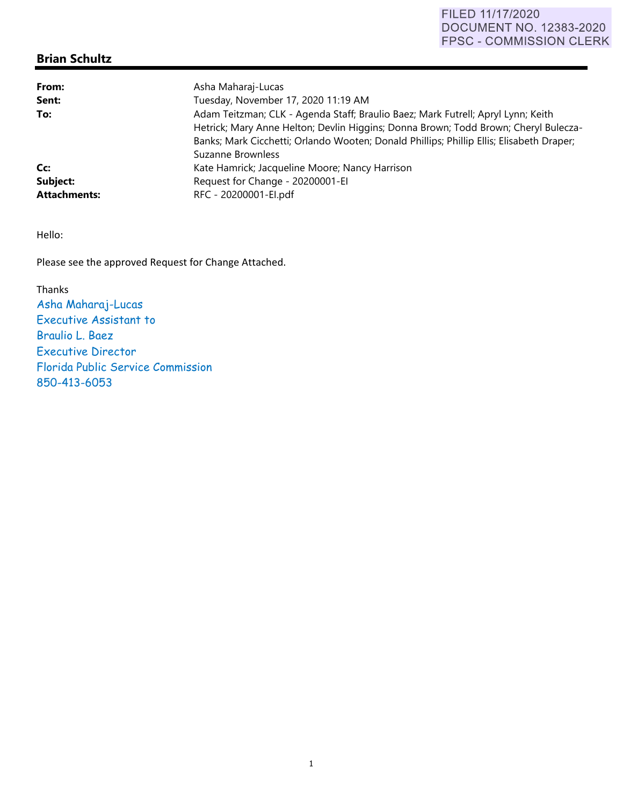## FILED 11/17/2020 **DOCUMENT NO. 12383-2020** FPSC - COMMISSION CLERK

## **Brian Schultz**

| From:               | Asha Maharaj-Lucas                                                                       |
|---------------------|------------------------------------------------------------------------------------------|
| Sent:               | Tuesday, November 17, 2020 11:19 AM                                                      |
| To:                 | Adam Teitzman; CLK - Agenda Staff; Braulio Baez; Mark Futrell; Apryl Lynn; Keith         |
|                     | Hetrick; Mary Anne Helton; Devlin Higgins; Donna Brown; Todd Brown; Cheryl Bulecza-      |
|                     | Banks; Mark Cicchetti; Orlando Wooten; Donald Phillips; Phillip Ellis; Elisabeth Draper; |
|                     | Suzanne Brownless                                                                        |
| Cc:                 | Kate Hamrick; Jacqueline Moore; Nancy Harrison                                           |
| Subject:            | Request for Change - 20200001-EI                                                         |
| <b>Attachments:</b> | RFC - 20200001-El.pdf                                                                    |

Hello:

Please see the approved Request for Change Attached.

Thanks Asha Maharaj-Lucas Executive Assistant to Braulio L. Baez Executive Director Florida Public Service Commission 850-413-6053